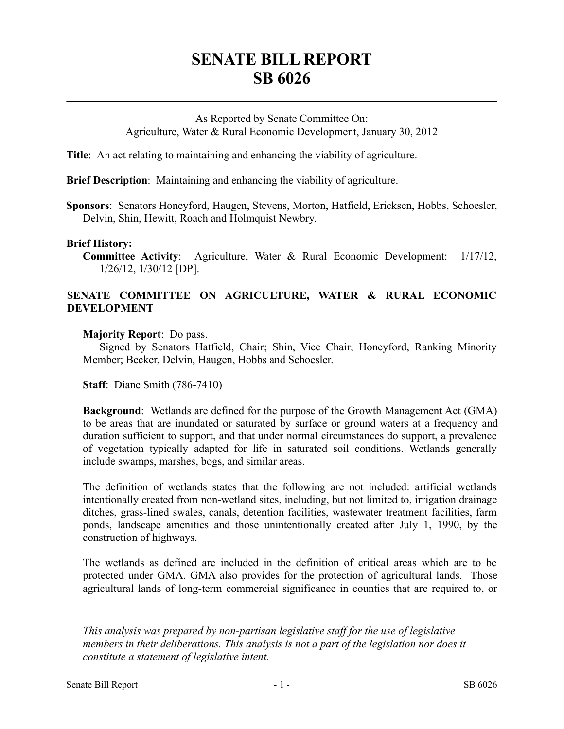# **SENATE BILL REPORT SB 6026**

## As Reported by Senate Committee On: Agriculture, Water & Rural Economic Development, January 30, 2012

**Title**: An act relating to maintaining and enhancing the viability of agriculture.

**Brief Description**: Maintaining and enhancing the viability of agriculture.

**Sponsors**: Senators Honeyford, Haugen, Stevens, Morton, Hatfield, Ericksen, Hobbs, Schoesler, Delvin, Shin, Hewitt, Roach and Holmquist Newbry.

#### **Brief History:**

**Committee Activity**: Agriculture, Water & Rural Economic Development: 1/17/12, 1/26/12, 1/30/12 [DP].

## **SENATE COMMITTEE ON AGRICULTURE, WATER & RURAL ECONOMIC DEVELOPMENT**

**Majority Report**: Do pass.

Signed by Senators Hatfield, Chair; Shin, Vice Chair; Honeyford, Ranking Minority Member; Becker, Delvin, Haugen, Hobbs and Schoesler.

**Staff**: Diane Smith (786-7410)

**Background**: Wetlands are defined for the purpose of the Growth Management Act (GMA) to be areas that are inundated or saturated by surface or ground waters at a frequency and duration sufficient to support, and that under normal circumstances do support, a prevalence of vegetation typically adapted for life in saturated soil conditions. Wetlands generally include swamps, marshes, bogs, and similar areas.

The definition of wetlands states that the following are not included: artificial wetlands intentionally created from non-wetland sites, including, but not limited to, irrigation drainage ditches, grass-lined swales, canals, detention facilities, wastewater treatment facilities, farm ponds, landscape amenities and those unintentionally created after July 1, 1990, by the construction of highways.

The wetlands as defined are included in the definition of critical areas which are to be protected under GMA. GMA also provides for the protection of agricultural lands. Those agricultural lands of long-term commercial significance in counties that are required to, or

––––––––––––––––––––––

*This analysis was prepared by non-partisan legislative staff for the use of legislative members in their deliberations. This analysis is not a part of the legislation nor does it constitute a statement of legislative intent.*